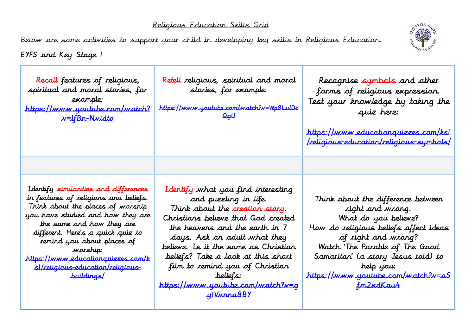## Religious Education Skills Grid

Below are some activities to support your child in developing key skills in Religious Education.



EYFS and Key Stage 1

| Recall features of religious,<br>spiritual and moral stories, for<br>example:<br><u>https://www.youtube.com/watch?</u><br><u>w=IfBn-Nvidto</u>                                                                                                                                                                                                                              | Retell religious, spiritual and moral<br>stories, for example:<br>https://www.youtube.com/watch?v=Wp8LuIDz<br>QqU                                                                                                                                                                                                                                                                              | Recognise symbols and other<br>forms of religious expression.<br>Test your knowledge by taking the<br>quiz here:<br><u>https://www.educationquizzes.com/ksl</u><br>  religious-education/religious-sumbols                                                                                    |
|-----------------------------------------------------------------------------------------------------------------------------------------------------------------------------------------------------------------------------------------------------------------------------------------------------------------------------------------------------------------------------|------------------------------------------------------------------------------------------------------------------------------------------------------------------------------------------------------------------------------------------------------------------------------------------------------------------------------------------------------------------------------------------------|-----------------------------------------------------------------------------------------------------------------------------------------------------------------------------------------------------------------------------------------------------------------------------------------------|
|                                                                                                                                                                                                                                                                                                                                                                             |                                                                                                                                                                                                                                                                                                                                                                                                |                                                                                                                                                                                                                                                                                               |
| Identify similarities and differences<br>in features of religions and beliefs.<br>Think about the places of worship<br>you have studied and how they are<br>the same and how they are<br>different. Here's a quick quiz to<br>remind you about places of<br>warship:<br>https://www.educationquizzes.com/k<br><u>s//religious-education/religious-</u><br><u>huildings/</u> | Identify what you find interesting<br>and puzzling in life.<br>Think about the creation story.<br>Christians believe that God created<br>the heavens and the earth in 7<br>days. Ask an adult what they<br>believe. Is it the same as Christian<br>beliefs? Take a look at this short<br>film to remind you of Christian<br>beliefs:<br>https://www.youtube.com/watch?v=q<br><u>ylVvrna8BY</u> | Think about the difference between<br>right and wrong.<br>What do you believe?<br>How do religious beliefs affect ideas<br>of right and wrong?<br>Watch 'The Parable of The Good<br>Samaritan' (a story Jesus told) to<br>help you:<br>https://www.youtube.com/watch?v=aS<br><u>fm2xdKau4</u> |